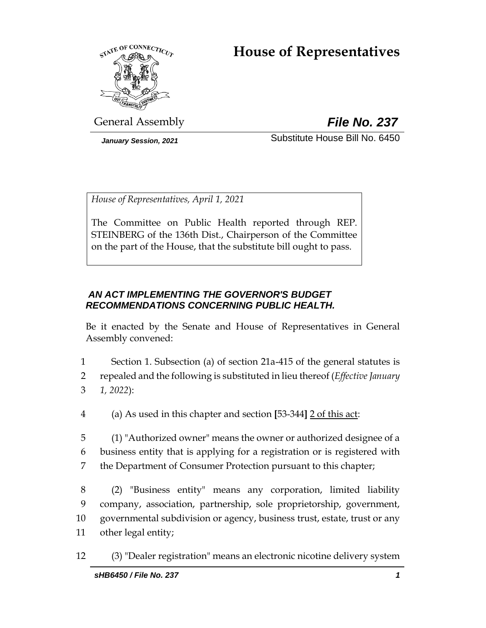# **House of Representatives**



General Assembly *File No. 237*

*January Session, 2021* Substitute House Bill No. 6450

*House of Representatives, April 1, 2021*

The Committee on Public Health reported through REP. STEINBERG of the 136th Dist., Chairperson of the Committee on the part of the House, that the substitute bill ought to pass.

## *AN ACT IMPLEMENTING THE GOVERNOR'S BUDGET RECOMMENDATIONS CONCERNING PUBLIC HEALTH.*

Be it enacted by the Senate and House of Representatives in General Assembly convened:

1 Section 1. Subsection (a) of section 21a-415 of the general statutes is 2 repealed and the following is substituted in lieu thereof (*Effective January*  3 *1, 2022*):

4 (a) As used in this chapter and section **[**53-344**]** 2 of this act:

5 (1) "Authorized owner" means the owner or authorized designee of a 6 business entity that is applying for a registration or is registered with 7 the Department of Consumer Protection pursuant to this chapter;

 (2) "Business entity" means any corporation, limited liability company, association, partnership, sole proprietorship, government, governmental subdivision or agency, business trust, estate, trust or any other legal entity;

12 (3) "Dealer registration" means an electronic nicotine delivery system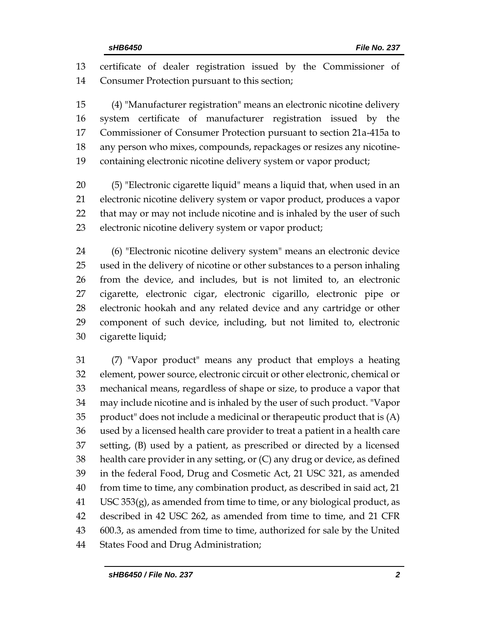certificate of dealer registration issued by the Commissioner of Consumer Protection pursuant to this section;

 (4) "Manufacturer registration" means an electronic nicotine delivery system certificate of manufacturer registration issued by the Commissioner of Consumer Protection pursuant to section 21a-415a to any person who mixes, compounds, repackages or resizes any nicotine-containing electronic nicotine delivery system or vapor product;

 (5) "Electronic cigarette liquid" means a liquid that, when used in an electronic nicotine delivery system or vapor product, produces a vapor that may or may not include nicotine and is inhaled by the user of such electronic nicotine delivery system or vapor product;

 (6) "Electronic nicotine delivery system" means an electronic device used in the delivery of nicotine or other substances to a person inhaling from the device, and includes, but is not limited to, an electronic cigarette, electronic cigar, electronic cigarillo, electronic pipe or electronic hookah and any related device and any cartridge or other component of such device, including, but not limited to, electronic cigarette liquid;

 (7) "Vapor product" means any product that employs a heating element, power source, electronic circuit or other electronic, chemical or mechanical means, regardless of shape or size, to produce a vapor that may include nicotine and is inhaled by the user of such product. "Vapor product" does not include a medicinal or therapeutic product that is (A) used by a licensed health care provider to treat a patient in a health care setting, (B) used by a patient, as prescribed or directed by a licensed health care provider in any setting, or (C) any drug or device, as defined in the federal Food, Drug and Cosmetic Act, 21 USC 321, as amended from time to time, any combination product, as described in said act, 21 USC 353 $(g)$ , as amended from time to time, or any biological product, as described in 42 USC 262, as amended from time to time, and 21 CFR 600.3, as amended from time to time, authorized for sale by the United States Food and Drug Administration;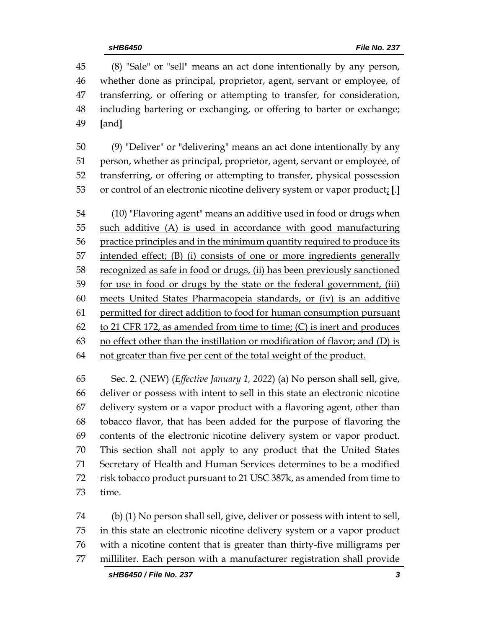(8) "Sale" or "sell" means an act done intentionally by any person, whether done as principal, proprietor, agent, servant or employee, of transferring, or offering or attempting to transfer, for consideration, including bartering or exchanging, or offering to barter or exchange; **[**and**]**

 (9) "Deliver" or "delivering" means an act done intentionally by any person, whether as principal, proprietor, agent, servant or employee, of transferring, or offering or attempting to transfer, physical possession or control of an electronic nicotine delivery system or vapor product; **[**.**]**

 (10) "Flavoring agent" means an additive used in food or drugs when such additive (A) is used in accordance with good manufacturing practice principles and in the minimum quantity required to produce its intended effect; (B) (i) consists of one or more ingredients generally recognized as safe in food or drugs, (ii) has been previously sanctioned for use in food or drugs by the state or the federal government, (iii) meets United States Pharmacopeia standards, or (iv) is an additive 61 permitted for direct addition to food for human consumption pursuant 62 to 21 CFR 172, as amended from time to time;  $(C)$  is inert and produces no effect other than the instillation or modification of flavor; and (D) is 64 not greater than five per cent of the total weight of the product.

 Sec. 2. (NEW) (*Effective January 1, 2022*) (a) No person shall sell, give, deliver or possess with intent to sell in this state an electronic nicotine delivery system or a vapor product with a flavoring agent, other than tobacco flavor, that has been added for the purpose of flavoring the contents of the electronic nicotine delivery system or vapor product. This section shall not apply to any product that the United States Secretary of Health and Human Services determines to be a modified risk tobacco product pursuant to 21 USC 387k, as amended from time to time.

 (b) (1) No person shall sell, give, deliver or possess with intent to sell, in this state an electronic nicotine delivery system or a vapor product with a nicotine content that is greater than thirty-five milligrams per milliliter. Each person with a manufacturer registration shall provide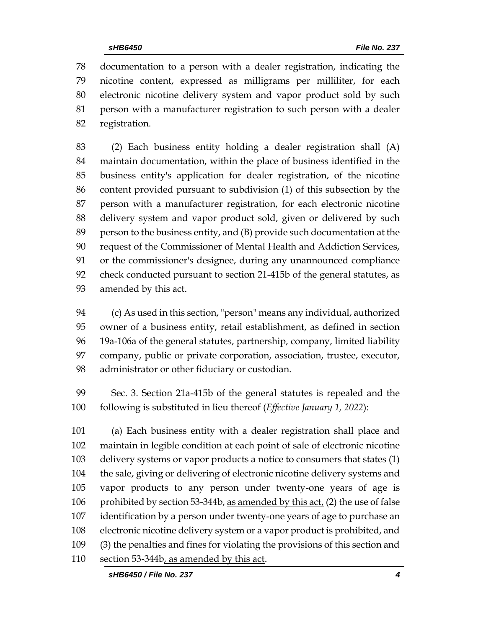documentation to a person with a dealer registration, indicating the nicotine content, expressed as milligrams per milliliter, for each electronic nicotine delivery system and vapor product sold by such person with a manufacturer registration to such person with a dealer registration.

 (2) Each business entity holding a dealer registration shall (A) maintain documentation, within the place of business identified in the business entity's application for dealer registration, of the nicotine content provided pursuant to subdivision (1) of this subsection by the person with a manufacturer registration, for each electronic nicotine delivery system and vapor product sold, given or delivered by such person to the business entity, and (B) provide such documentation at the request of the Commissioner of Mental Health and Addiction Services, or the commissioner's designee, during any unannounced compliance check conducted pursuant to section 21-415b of the general statutes, as amended by this act.

 (c) As used in this section, "person" means any individual, authorized owner of a business entity, retail establishment, as defined in section 19a-106a of the general statutes, partnership, company, limited liability company, public or private corporation, association, trustee, executor, administrator or other fiduciary or custodian.

 Sec. 3. Section 21a-415b of the general statutes is repealed and the following is substituted in lieu thereof (*Effective January 1, 2022*):

 (a) Each business entity with a dealer registration shall place and maintain in legible condition at each point of sale of electronic nicotine delivery systems or vapor products a notice to consumers that states (1) the sale, giving or delivering of electronic nicotine delivery systems and vapor products to any person under twenty-one years of age is prohibited by section 53-344b, as amended by this act, (2) the use of false identification by a person under twenty-one years of age to purchase an electronic nicotine delivery system or a vapor product is prohibited, and (3) the penalties and fines for violating the provisions of this section and section 53-344b, as amended by this act.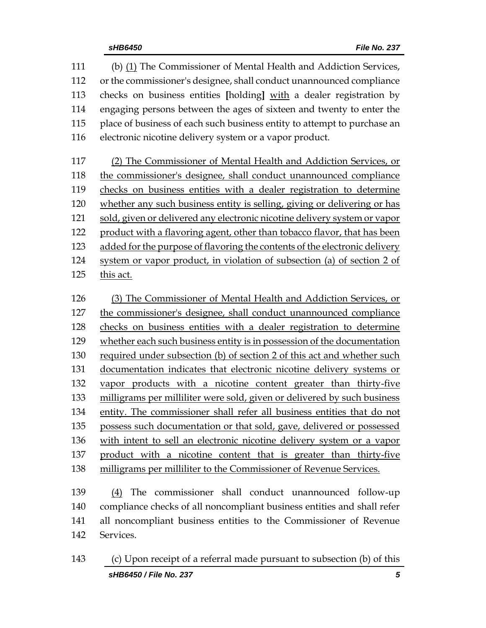(b) (1) The Commissioner of Mental Health and Addiction Services, or the commissioner's designee, shall conduct unannounced compliance checks on business entities **[**holding**]** with a dealer registration by engaging persons between the ages of sixteen and twenty to enter the place of business of each such business entity to attempt to purchase an electronic nicotine delivery system or a vapor product. (2) The Commissioner of Mental Health and Addiction Services, or the commissioner's designee, shall conduct unannounced compliance

 checks on business entities with a dealer registration to determine whether any such business entity is selling, giving or delivering or has sold, given or delivered any electronic nicotine delivery system or vapor product with a flavoring agent, other than tobacco flavor, that has been added for the purpose of flavoring the contents of the electronic delivery system or vapor product, in violation of subsection (a) of section 2 of this act.

 (3) The Commissioner of Mental Health and Addiction Services, or the commissioner's designee, shall conduct unannounced compliance checks on business entities with a dealer registration to determine whether each such business entity is in possession of the documentation required under subsection (b) of section 2 of this act and whether such documentation indicates that electronic nicotine delivery systems or vapor products with a nicotine content greater than thirty-five milligrams per milliliter were sold, given or delivered by such business entity. The commissioner shall refer all business entities that do not possess such documentation or that sold, gave, delivered or possessed with intent to sell an electronic nicotine delivery system or a vapor product with a nicotine content that is greater than thirty-five milligrams per milliliter to the Commissioner of Revenue Services.

 (4) The commissioner shall conduct unannounced follow-up compliance checks of all noncompliant business entities and shall refer all noncompliant business entities to the Commissioner of Revenue Services.

*sHB6450 / File No. 237 5* (c) Upon receipt of a referral made pursuant to subsection (b) of this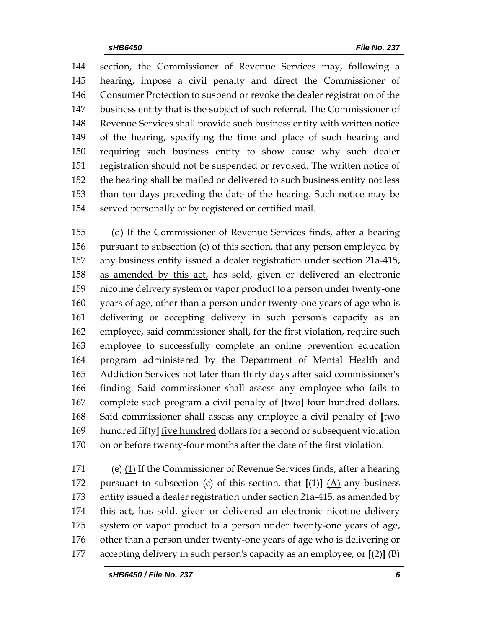section, the Commissioner of Revenue Services may, following a hearing, impose a civil penalty and direct the Commissioner of Consumer Protection to suspend or revoke the dealer registration of the business entity that is the subject of such referral. The Commissioner of Revenue Services shall provide such business entity with written notice of the hearing, specifying the time and place of such hearing and requiring such business entity to show cause why such dealer registration should not be suspended or revoked. The written notice of the hearing shall be mailed or delivered to such business entity not less than ten days preceding the date of the hearing. Such notice may be served personally or by registered or certified mail.

 (d) If the Commissioner of Revenue Services finds, after a hearing pursuant to subsection (c) of this section, that any person employed by any business entity issued a dealer registration under section 21a-415, as amended by this act, has sold, given or delivered an electronic nicotine delivery system or vapor product to a person under twenty-one years of age, other than a person under twenty-one years of age who is delivering or accepting delivery in such person's capacity as an employee, said commissioner shall, for the first violation, require such employee to successfully complete an online prevention education program administered by the Department of Mental Health and Addiction Services not later than thirty days after said commissioner's finding. Said commissioner shall assess any employee who fails to complete such program a civil penalty of **[**two**]** four hundred dollars. Said commissioner shall assess any employee a civil penalty of **[**two hundred fifty**]** five hundred dollars for a second or subsequent violation on or before twenty-four months after the date of the first violation.

 (e) (1) If the Commissioner of Revenue Services finds, after a hearing pursuant to subsection (c) of this section, that **[**(1)**]** (A) any business entity issued a dealer registration under section 21a-415, as amended by this act, has sold, given or delivered an electronic nicotine delivery system or vapor product to a person under twenty-one years of age, other than a person under twenty-one years of age who is delivering or accepting delivery in such person's capacity as an employee, or **[**(2)**]** (B)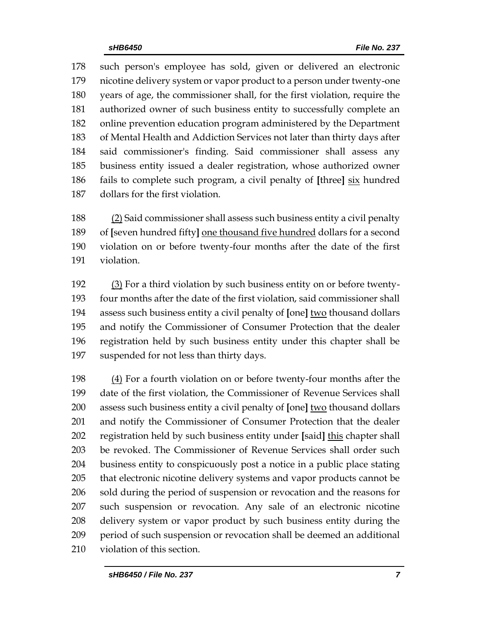such person's employee has sold, given or delivered an electronic nicotine delivery system or vapor product to a person under twenty-one years of age, the commissioner shall, for the first violation, require the authorized owner of such business entity to successfully complete an online prevention education program administered by the Department of Mental Health and Addiction Services not later than thirty days after said commissioner's finding. Said commissioner shall assess any business entity issued a dealer registration, whose authorized owner fails to complete such program, a civil penalty of **[**three**]** six hundred dollars for the first violation.

 (2) Said commissioner shall assess such business entity a civil penalty of **[**seven hundred fifty**]** one thousand five hundred dollars for a second violation on or before twenty-four months after the date of the first violation.

 (3) For a third violation by such business entity on or before twenty- four months after the date of the first violation, said commissioner shall assess such business entity a civil penalty of **[**one**]** two thousand dollars and notify the Commissioner of Consumer Protection that the dealer registration held by such business entity under this chapter shall be suspended for not less than thirty days.

198 (4) For a fourth violation on or before twenty-four months after the date of the first violation, the Commissioner of Revenue Services shall assess such business entity a civil penalty of **[**one**]** two thousand dollars and notify the Commissioner of Consumer Protection that the dealer registration held by such business entity under **[**said**]** this chapter shall be revoked. The Commissioner of Revenue Services shall order such business entity to conspicuously post a notice in a public place stating that electronic nicotine delivery systems and vapor products cannot be sold during the period of suspension or revocation and the reasons for such suspension or revocation. Any sale of an electronic nicotine delivery system or vapor product by such business entity during the period of such suspension or revocation shall be deemed an additional violation of this section.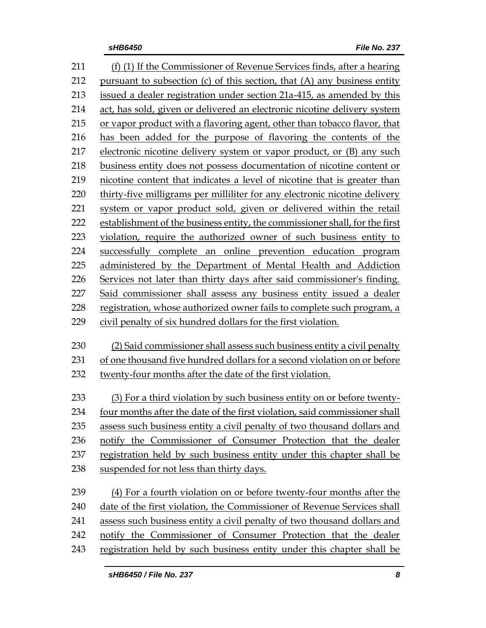| 211 | (f) (1) If the Commissioner of Revenue Services finds, after a hearing      |
|-----|-----------------------------------------------------------------------------|
| 212 | pursuant to subsection (c) of this section, that (A) any business entity    |
| 213 | issued a dealer registration under section 21a-415, as amended by this      |
| 214 | act, has sold, given or delivered an electronic nicotine delivery system    |
| 215 | or vapor product with a flavoring agent, other than tobacco flavor, that    |
| 216 | has been added for the purpose of flavoring the contents of the             |
| 217 | electronic nicotine delivery system or vapor product, or (B) any such       |
| 218 | business entity does not possess documentation of nicotine content or       |
| 219 | nicotine content that indicates a level of nicotine that is greater than    |
| 220 | thirty-five milligrams per milliliter for any electronic nicotine delivery  |
| 221 | system or vapor product sold, given or delivered within the retail          |
| 222 | establishment of the business entity, the commissioner shall, for the first |
| 223 | violation, require the authorized owner of such business entity to          |
| 224 | successfully complete an online prevention education program                |
| 225 | administered by the Department of Mental Health and Addiction               |
| 226 | Services not later than thirty days after said commissioner's finding.      |
| 227 | Said commissioner shall assess any business entity issued a dealer          |
| 228 | registration, whose authorized owner fails to complete such program, a      |
| 229 | civil penalty of six hundred dollars for the first violation.               |
| 230 | (2) Said commissioner shall assess such business entity a civil penalty     |
| 231 | of one thousand five hundred dollars for a second violation on or before    |
| 232 | twenty-four months after the date of the first violation.                   |
| 233 | (3) For a third violation by such business entity on or before twenty-      |
| 234 | four months after the date of the first violation, said commissioner shall  |
| 235 | assess such business entity a civil penalty of two thousand dollars and     |
| 236 | notify the Commissioner of Consumer Protection that the dealer              |
| 237 | registration held by such business entity under this chapter shall be       |
| 238 | suspended for not less than thirty days.                                    |
|     |                                                                             |
| 239 | (4) For a fourth violation on or before twenty-four months after the        |
| 240 | date of the first violation, the Commissioner of Revenue Services shall     |
| 241 | assess such business entity a civil penalty of two thousand dollars and     |
| 242 | notify the Commissioner of Consumer Protection that the dealer              |
| 243 | registration held by such business entity under this chapter shall be       |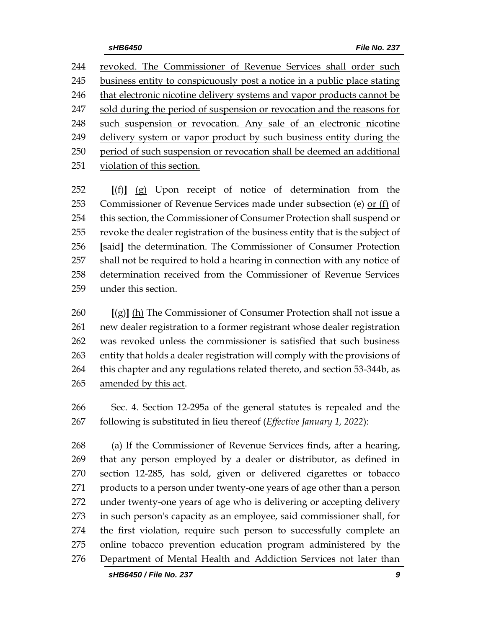revoked. The Commissioner of Revenue Services shall order such business entity to conspicuously post a notice in a public place stating that electronic nicotine delivery systems and vapor products cannot be sold during the period of suspension or revocation and the reasons for such suspension or revocation. Any sale of an electronic nicotine delivery system or vapor product by such business entity during the period of such suspension or revocation shall be deemed an additional violation of this section.

 **[**(f)**]** (g) Upon receipt of notice of determination from the Commissioner of Revenue Services made under subsection (e) or (f) of this section, the Commissioner of Consumer Protection shall suspend or revoke the dealer registration of the business entity that is the subject of **[**said**]** the determination. The Commissioner of Consumer Protection shall not be required to hold a hearing in connection with any notice of determination received from the Commissioner of Revenue Services under this section.

 **[**(g)**]** (h) The Commissioner of Consumer Protection shall not issue a new dealer registration to a former registrant whose dealer registration was revoked unless the commissioner is satisfied that such business entity that holds a dealer registration will comply with the provisions of 264 this chapter and any regulations related thereto, and section 53-344b, as amended by this act.

 Sec. 4. Section 12-295a of the general statutes is repealed and the following is substituted in lieu thereof (*Effective January 1, 2022*):

 (a) If the Commissioner of Revenue Services finds, after a hearing, that any person employed by a dealer or distributor, as defined in section 12-285, has sold, given or delivered cigarettes or tobacco products to a person under twenty-one years of age other than a person under twenty-one years of age who is delivering or accepting delivery in such person's capacity as an employee, said commissioner shall, for the first violation, require such person to successfully complete an online tobacco prevention education program administered by the Department of Mental Health and Addiction Services not later than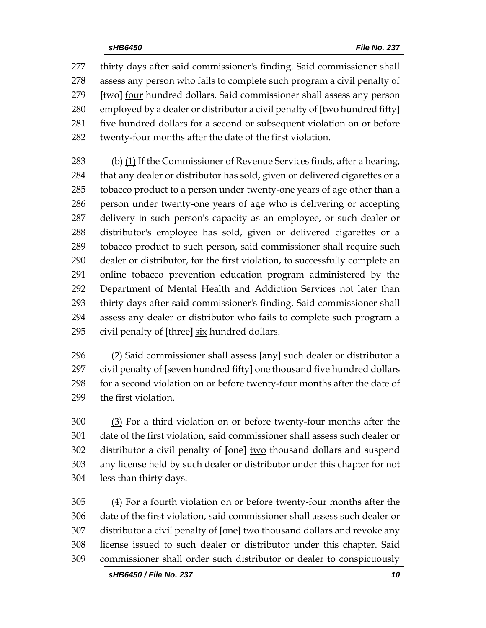thirty days after said commissioner's finding. Said commissioner shall assess any person who fails to complete such program a civil penalty of **[**two**]** four hundred dollars. Said commissioner shall assess any person employed by a dealer or distributor a civil penalty of **[**two hundred fifty**]** 281 five hundred dollars for a second or subsequent violation on or before twenty-four months after the date of the first violation.

 (b) (1) If the Commissioner of Revenue Services finds, after a hearing, that any dealer or distributor has sold, given or delivered cigarettes or a tobacco product to a person under twenty-one years of age other than a person under twenty-one years of age who is delivering or accepting delivery in such person's capacity as an employee, or such dealer or distributor's employee has sold, given or delivered cigarettes or a tobacco product to such person, said commissioner shall require such dealer or distributor, for the first violation, to successfully complete an online tobacco prevention education program administered by the Department of Mental Health and Addiction Services not later than thirty days after said commissioner's finding. Said commissioner shall assess any dealer or distributor who fails to complete such program a civil penalty of **[**three**]** six hundred dollars.

 (2) Said commissioner shall assess **[**any**]** such dealer or distributor a civil penalty of **[**seven hundred fifty**]** one thousand five hundred dollars for a second violation on or before twenty-four months after the date of the first violation.

 (3) For a third violation on or before twenty-four months after the date of the first violation, said commissioner shall assess such dealer or distributor a civil penalty of **[**one**]** two thousand dollars and suspend any license held by such dealer or distributor under this chapter for not less than thirty days.

 (4) For a fourth violation on or before twenty-four months after the date of the first violation, said commissioner shall assess such dealer or distributor a civil penalty of **[**one**]** two thousand dollars and revoke any license issued to such dealer or distributor under this chapter. Said commissioner shall order such distributor or dealer to conspicuously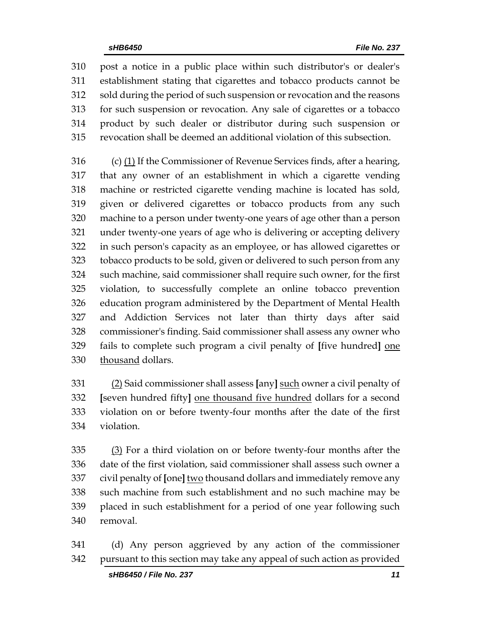post a notice in a public place within such distributor's or dealer's establishment stating that cigarettes and tobacco products cannot be sold during the period of such suspension or revocation and the reasons for such suspension or revocation. Any sale of cigarettes or a tobacco product by such dealer or distributor during such suspension or revocation shall be deemed an additional violation of this subsection.

 (c) (1) If the Commissioner of Revenue Services finds, after a hearing, that any owner of an establishment in which a cigarette vending machine or restricted cigarette vending machine is located has sold, given or delivered cigarettes or tobacco products from any such machine to a person under twenty-one years of age other than a person under twenty-one years of age who is delivering or accepting delivery in such person's capacity as an employee, or has allowed cigarettes or tobacco products to be sold, given or delivered to such person from any such machine, said commissioner shall require such owner, for the first violation, to successfully complete an online tobacco prevention education program administered by the Department of Mental Health and Addiction Services not later than thirty days after said commissioner's finding. Said commissioner shall assess any owner who fails to complete such program a civil penalty of **[**five hundred**]** one 330 thousand dollars.

 (2) Said commissioner shall assess **[**any**]** such owner a civil penalty of **[**seven hundred fifty**]** one thousand five hundred dollars for a second violation on or before twenty-four months after the date of the first violation.

 (3) For a third violation on or before twenty-four months after the date of the first violation, said commissioner shall assess such owner a civil penalty of **[**one**]** two thousand dollars and immediately remove any such machine from such establishment and no such machine may be placed in such establishment for a period of one year following such removal.

 (d) Any person aggrieved by any action of the commissioner pursuant to this section may take any appeal of such action as provided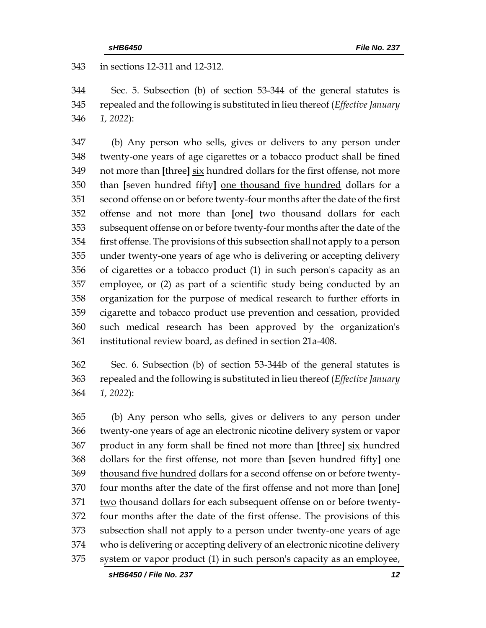in sections 12-311 and 12-312.

 Sec. 5. Subsection (b) of section 53-344 of the general statutes is repealed and the following is substituted in lieu thereof (*Effective January 1, 2022*):

 (b) Any person who sells, gives or delivers to any person under twenty-one years of age cigarettes or a tobacco product shall be fined not more than **[**three**]** six hundred dollars for the first offense, not more than **[**seven hundred fifty**]** one thousand five hundred dollars for a second offense on or before twenty-four months after the date of the first offense and not more than **[**one**]** two thousand dollars for each subsequent offense on or before twenty-four months after the date of the first offense. The provisions of this subsection shall not apply to a person under twenty-one years of age who is delivering or accepting delivery of cigarettes or a tobacco product (1) in such person's capacity as an employee, or (2) as part of a scientific study being conducted by an organization for the purpose of medical research to further efforts in cigarette and tobacco product use prevention and cessation, provided such medical research has been approved by the organization's institutional review board, as defined in section 21a-408.

 Sec. 6. Subsection (b) of section 53-344b of the general statutes is repealed and the following is substituted in lieu thereof (*Effective January 1, 2022*):

 (b) Any person who sells, gives or delivers to any person under twenty-one years of age an electronic nicotine delivery system or vapor product in any form shall be fined not more than **[**three**]** six hundred dollars for the first offense, not more than **[**seven hundred fifty**]** one thousand five hundred dollars for a second offense on or before twenty- four months after the date of the first offense and not more than **[**one**]** two thousand dollars for each subsequent offense on or before twenty- four months after the date of the first offense. The provisions of this subsection shall not apply to a person under twenty-one years of age who is delivering or accepting delivery of an electronic nicotine delivery system or vapor product (1) in such person's capacity as an employee,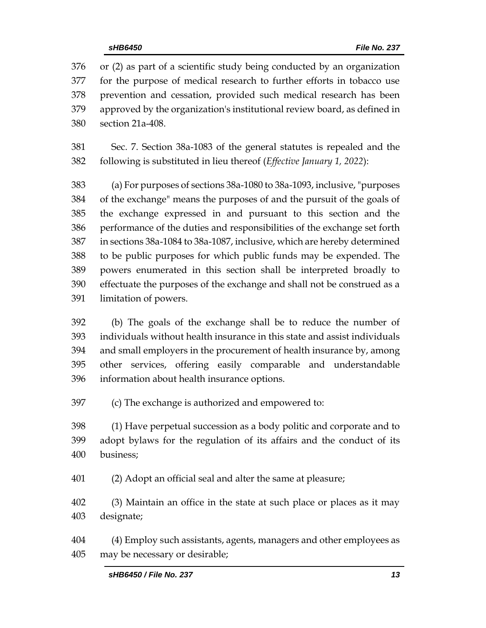or (2) as part of a scientific study being conducted by an organization for the purpose of medical research to further efforts in tobacco use prevention and cessation, provided such medical research has been approved by the organization's institutional review board, as defined in section 21a-408.

 Sec. 7. Section 38a-1083 of the general statutes is repealed and the following is substituted in lieu thereof (*Effective January 1, 2022*):

 (a) For purposes of sections 38a-1080 to 38a-1093, inclusive, "purposes of the exchange" means the purposes of and the pursuit of the goals of the exchange expressed in and pursuant to this section and the performance of the duties and responsibilities of the exchange set forth in sections 38a-1084 to 38a-1087, inclusive, which are hereby determined to be public purposes for which public funds may be expended. The powers enumerated in this section shall be interpreted broadly to effectuate the purposes of the exchange and shall not be construed as a limitation of powers.

 (b) The goals of the exchange shall be to reduce the number of individuals without health insurance in this state and assist individuals and small employers in the procurement of health insurance by, among other services, offering easily comparable and understandable information about health insurance options.

(c) The exchange is authorized and empowered to:

 (1) Have perpetual succession as a body politic and corporate and to adopt bylaws for the regulation of its affairs and the conduct of its business;

(2) Adopt an official seal and alter the same at pleasure;

 (3) Maintain an office in the state at such place or places as it may designate;

 (4) Employ such assistants, agents, managers and other employees as may be necessary or desirable;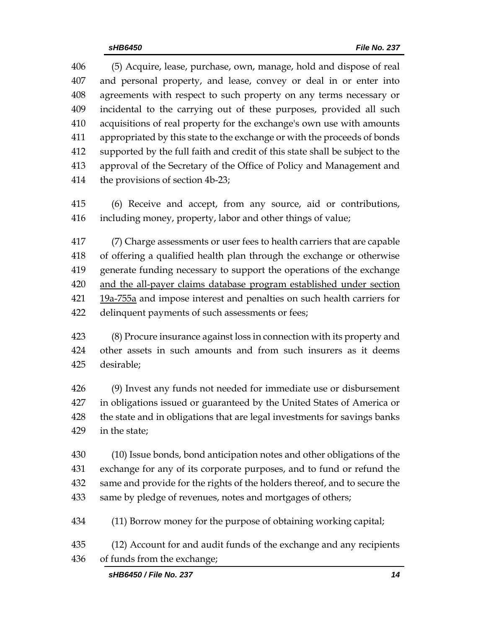(5) Acquire, lease, purchase, own, manage, hold and dispose of real and personal property, and lease, convey or deal in or enter into agreements with respect to such property on any terms necessary or incidental to the carrying out of these purposes, provided all such acquisitions of real property for the exchange's own use with amounts appropriated by this state to the exchange or with the proceeds of bonds supported by the full faith and credit of this state shall be subject to the approval of the Secretary of the Office of Policy and Management and the provisions of section 4b-23;

 (6) Receive and accept, from any source, aid or contributions, including money, property, labor and other things of value;

 (7) Charge assessments or user fees to health carriers that are capable of offering a qualified health plan through the exchange or otherwise generate funding necessary to support the operations of the exchange and the all-payer claims database program established under section 19a-755a and impose interest and penalties on such health carriers for delinquent payments of such assessments or fees;

 (8) Procure insurance against loss in connection with its property and other assets in such amounts and from such insurers as it deems desirable;

 (9) Invest any funds not needed for immediate use or disbursement in obligations issued or guaranteed by the United States of America or the state and in obligations that are legal investments for savings banks in the state;

 (10) Issue bonds, bond anticipation notes and other obligations of the exchange for any of its corporate purposes, and to fund or refund the same and provide for the rights of the holders thereof, and to secure the same by pledge of revenues, notes and mortgages of others;

- (11) Borrow money for the purpose of obtaining working capital;
- (12) Account for and audit funds of the exchange and any recipients of funds from the exchange;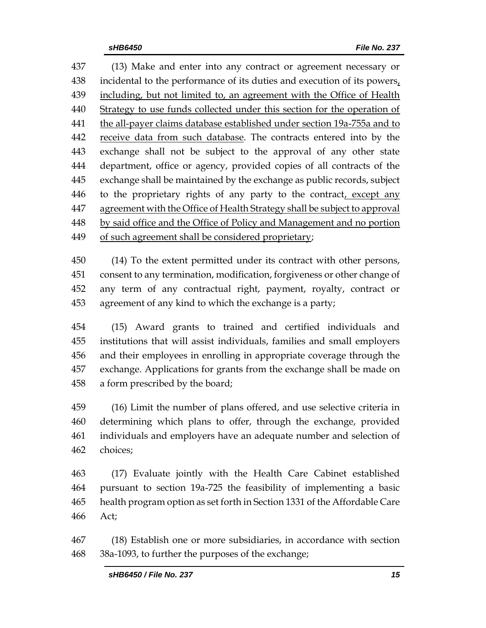(13) Make and enter into any contract or agreement necessary or incidental to the performance of its duties and execution of its powers, including, but not limited to, an agreement with the Office of Health Strategy to use funds collected under this section for the operation of 441 the all-payer claims database established under section 19a-755a and to 442 receive data from such database. The contracts entered into by the exchange shall not be subject to the approval of any other state department, office or agency, provided copies of all contracts of the exchange shall be maintained by the exchange as public records, subject 446 to the proprietary rights of any party to the contract, except any agreement with the Office of Health Strategy shall be subject to approval 448 by said office and the Office of Policy and Management and no portion 449 of such agreement shall be considered proprietary;

 (14) To the extent permitted under its contract with other persons, consent to any termination, modification, forgiveness or other change of any term of any contractual right, payment, royalty, contract or agreement of any kind to which the exchange is a party;

 (15) Award grants to trained and certified individuals and institutions that will assist individuals, families and small employers and their employees in enrolling in appropriate coverage through the exchange. Applications for grants from the exchange shall be made on a form prescribed by the board;

 (16) Limit the number of plans offered, and use selective criteria in determining which plans to offer, through the exchange, provided individuals and employers have an adequate number and selection of choices;

 (17) Evaluate jointly with the Health Care Cabinet established pursuant to section 19a-725 the feasibility of implementing a basic health program option as set forth in Section 1331 of the Affordable Care Act;

 (18) Establish one or more subsidiaries, in accordance with section 38a-1093, to further the purposes of the exchange;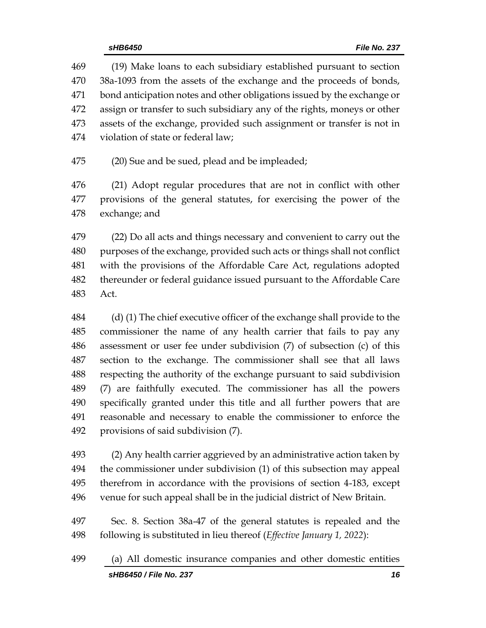(19) Make loans to each subsidiary established pursuant to section 38a-1093 from the assets of the exchange and the proceeds of bonds, bond anticipation notes and other obligations issued by the exchange or assign or transfer to such subsidiary any of the rights, moneys or other assets of the exchange, provided such assignment or transfer is not in violation of state or federal law;

(20) Sue and be sued, plead and be impleaded;

 (21) Adopt regular procedures that are not in conflict with other provisions of the general statutes, for exercising the power of the exchange; and

 (22) Do all acts and things necessary and convenient to carry out the purposes of the exchange, provided such acts or things shall not conflict with the provisions of the Affordable Care Act, regulations adopted thereunder or federal guidance issued pursuant to the Affordable Care Act.

 (d) (1) The chief executive officer of the exchange shall provide to the commissioner the name of any health carrier that fails to pay any assessment or user fee under subdivision (7) of subsection (c) of this section to the exchange. The commissioner shall see that all laws respecting the authority of the exchange pursuant to said subdivision (7) are faithfully executed. The commissioner has all the powers specifically granted under this title and all further powers that are reasonable and necessary to enable the commissioner to enforce the provisions of said subdivision (7).

 (2) Any health carrier aggrieved by an administrative action taken by the commissioner under subdivision (1) of this subsection may appeal therefrom in accordance with the provisions of section 4-183, except venue for such appeal shall be in the judicial district of New Britain.

 Sec. 8. Section 38a-47 of the general statutes is repealed and the following is substituted in lieu thereof (*Effective January 1, 2022*):

*sHB6450 / File No. 237 16* (a) All domestic insurance companies and other domestic entities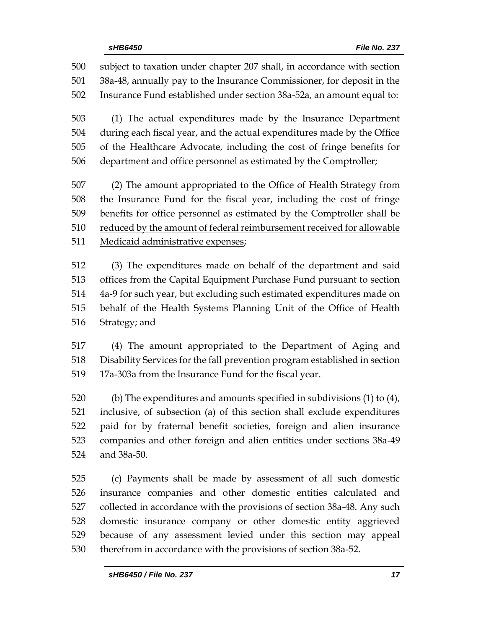subject to taxation under chapter 207 shall, in accordance with section 38a-48, annually pay to the Insurance Commissioner, for deposit in the Insurance Fund established under section 38a-52a, an amount equal to:

 (1) The actual expenditures made by the Insurance Department during each fiscal year, and the actual expenditures made by the Office of the Healthcare Advocate, including the cost of fringe benefits for department and office personnel as estimated by the Comptroller;

 (2) The amount appropriated to the Office of Health Strategy from the Insurance Fund for the fiscal year, including the cost of fringe benefits for office personnel as estimated by the Comptroller shall be reduced by the amount of federal reimbursement received for allowable Medicaid administrative expenses;

 (3) The expenditures made on behalf of the department and said offices from the Capital Equipment Purchase Fund pursuant to section 4a-9 for such year, but excluding such estimated expenditures made on behalf of the Health Systems Planning Unit of the Office of Health Strategy; and

 (4) The amount appropriated to the Department of Aging and Disability Services for the fall prevention program established in section 519 17a-303a from the Insurance Fund for the fiscal year.

 (b) The expenditures and amounts specified in subdivisions (1) to (4), inclusive, of subsection (a) of this section shall exclude expenditures paid for by fraternal benefit societies, foreign and alien insurance companies and other foreign and alien entities under sections 38a-49 and 38a-50.

 (c) Payments shall be made by assessment of all such domestic insurance companies and other domestic entities calculated and collected in accordance with the provisions of section 38a-48. Any such domestic insurance company or other domestic entity aggrieved because of any assessment levied under this section may appeal therefrom in accordance with the provisions of section 38a-52.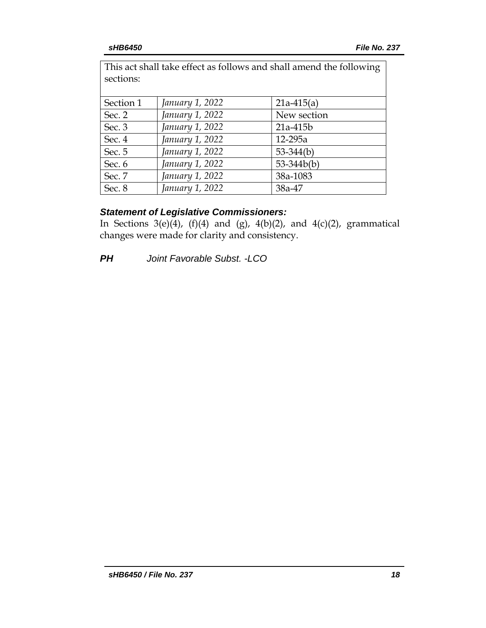| This act shall take effect as follows and shall amend the following<br>sections: |                 |              |  |  |
|----------------------------------------------------------------------------------|-----------------|--------------|--|--|
| Section 1                                                                        | January 1, 2022 | $21a-415(a)$ |  |  |
| Sec. 2                                                                           | January 1, 2022 | New section  |  |  |
| Sec. 3                                                                           | January 1, 2022 | 21a-415b     |  |  |
| Sec. 4                                                                           | January 1, 2022 | 12-295a      |  |  |
| Sec. 5                                                                           | January 1, 2022 | $53-344(b)$  |  |  |
| Sec. 6                                                                           | January 1, 2022 | $53-344b(b)$ |  |  |
| Sec. 7                                                                           | January 1, 2022 | 38a-1083     |  |  |
| Sec. 8                                                                           | January 1, 2022 | 38a-47       |  |  |

## *Statement of Legislative Commissioners:*

In Sections 3(e)(4), (f)(4) and (g), 4(b)(2), and 4(c)(2), grammatical changes were made for clarity and consistency.

*PH Joint Favorable Subst. -LCO*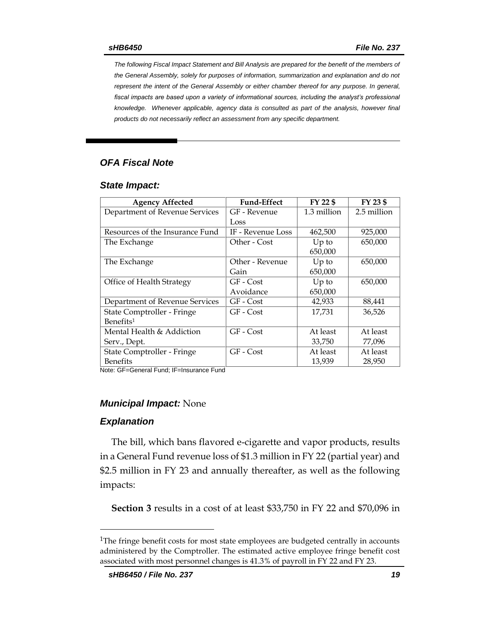*The following Fiscal Impact Statement and Bill Analysis are prepared for the benefit of the members of the General Assembly, solely for purposes of information, summarization and explanation and do not represent the intent of the General Assembly or either chamber thereof for any purpose. In general,*  fiscal impacts are based upon a variety of informational sources, including the analyst's professional *knowledge. Whenever applicable, agency data is consulted as part of the analysis, however final products do not necessarily reflect an assessment from any specific department.*

## *OFA Fiscal Note*

#### *State Impact:*

| <b>Agency Affected</b>          | <b>Fund-Effect</b> | FY 22 \$    | FY 23 \$    |
|---------------------------------|--------------------|-------------|-------------|
| Department of Revenue Services  | GF - Revenue       | 1.3 million | 2.5 million |
|                                 | Loss               |             |             |
| Resources of the Insurance Fund | IF - Revenue Loss  | 462,500     | 925,000     |
| The Exchange                    | Other - Cost       | $Up$ to     | 650,000     |
|                                 |                    | 650,000     |             |
| The Exchange                    | Other - Revenue    | $Up$ to     | 650,000     |
|                                 | Gain               | 650,000     |             |
| Office of Health Strategy       | GF - Cost          | $Up$ to     | 650,000     |
|                                 | Avoidance          | 650,000     |             |
| Department of Revenue Services  | GF - Cost          | 42,933      | 88,441      |
| State Comptroller - Fringe      | GF - Cost          | 17,731      | 36,526      |
| Benefits <sup>1</sup>           |                    |             |             |
| Mental Health & Addiction       | GF - Cost          | At least    | At least    |
| Serv., Dept.                    |                    | 33,750      | 77,096      |
| State Comptroller - Fringe      | GF - Cost          | At least    | At least    |
| <b>Benefits</b>                 |                    | 13,939      | 28,950      |

Note: GF=General Fund; IF=Insurance Fund

#### *Municipal Impact:* None

#### *Explanation*

 $\overline{a}$ 

The bill, which bans flavored e-cigarette and vapor products, results in a General Fund revenue loss of \$1.3 million in FY 22 (partial year) and \$2.5 million in FY 23 and annually thereafter, as well as the following impacts:

**Section 3** results in a cost of at least \$33,750 in FY 22 and \$70,096 in

<sup>&</sup>lt;sup>1</sup>The fringe benefit costs for most state employees are budgeted centrally in accounts administered by the Comptroller. The estimated active employee fringe benefit cost associated with most personnel changes is 41.3% of payroll in FY 22 and FY 23.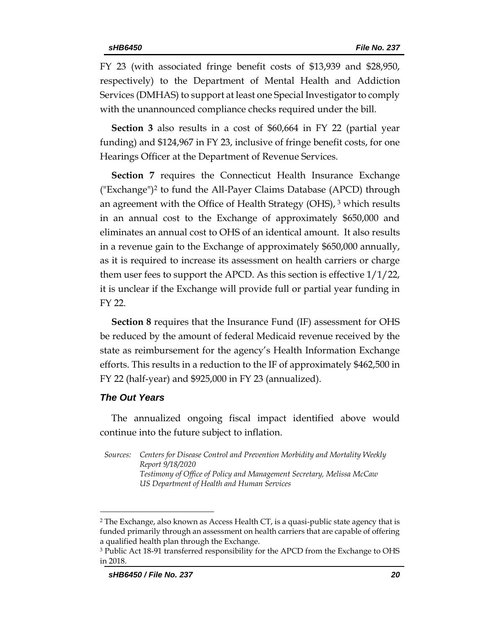FY 23 (with associated fringe benefit costs of \$13,939 and \$28,950, respectively) to the Department of Mental Health and Addiction Services (DMHAS) to support at least one Special Investigator to comply with the unannounced compliance checks required under the bill.

**Section 3** also results in a cost of \$60,664 in FY 22 (partial year funding) and \$124,967 in FY 23, inclusive of fringe benefit costs, for one Hearings Officer at the Department of Revenue Services.

**Section 7** requires the Connecticut Health Insurance Exchange ("Exchange")<sup>2</sup> to fund the All-Payer Claims Database (APCD) through an agreement with the Office of Health Strategy (OHS),  $3$  which results in an annual cost to the Exchange of approximately \$650,000 and eliminates an annual cost to OHS of an identical amount. It also results in a revenue gain to the Exchange of approximately \$650,000 annually, as it is required to increase its assessment on health carriers or charge them user fees to support the APCD. As this section is effective  $1/1/22$ , it is unclear if the Exchange will provide full or partial year funding in FY 22.

**Section 8** requires that the Insurance Fund (IF) assessment for OHS be reduced by the amount of federal Medicaid revenue received by the state as reimbursement for the agency's Health Information Exchange efforts. This results in a reduction to the IF of approximately \$462,500 in FY 22 (half-year) and \$925,000 in FY 23 (annualized).

## *The Out Years*

 $\overline{a}$ 

The annualized ongoing fiscal impact identified above would continue into the future subject to inflation.

*Sources: Centers for Disease Control and Prevention Morbidity and Mortality Weekly Report 9/18/2020 Testimony of Office of Policy and Management Secretary, Melissa McCaw US Department of Health and Human Services*

<sup>&</sup>lt;sup>2</sup> The Exchange, also known as Access Health CT, is a quasi-public state agency that is funded primarily through an assessment on health carriers that are capable of offering a qualified health plan through the Exchange.

<sup>3</sup> Public Act 18-91 transferred responsibility for the APCD from the Exchange to OHS in 2018.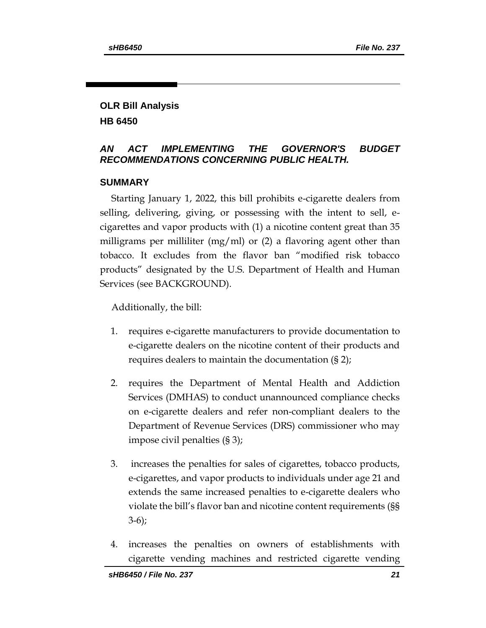## **OLR Bill Analysis HB 6450**

## *AN ACT IMPLEMENTING THE GOVERNOR'S BUDGET RECOMMENDATIONS CONCERNING PUBLIC HEALTH.*

## **SUMMARY**

Starting January 1, 2022, this bill prohibits e-cigarette dealers from selling, delivering, giving, or possessing with the intent to sell, ecigarettes and vapor products with (1) a nicotine content great than 35 milligrams per milliliter (mg/ml) or  $(2)$  a flavoring agent other than tobacco. It excludes from the flavor ban "modified risk tobacco products" designated by the U.S. Department of Health and Human Services (see BACKGROUND).

Additionally, the bill:

- 1. requires e-cigarette manufacturers to provide documentation to e-cigarette dealers on the nicotine content of their products and requires dealers to maintain the documentation (§ 2);
- 2. requires the Department of Mental Health and Addiction Services (DMHAS) to conduct unannounced compliance checks on e-cigarette dealers and refer non-compliant dealers to the Department of Revenue Services (DRS) commissioner who may impose civil penalties (§ 3);
- 3. increases the penalties for sales of cigarettes, tobacco products, e-cigarettes, and vapor products to individuals under age 21 and extends the same increased penalties to e-cigarette dealers who violate the bill's flavor ban and nicotine content requirements (§§ 3-6);
- 4. increases the penalties on owners of establishments with cigarette vending machines and restricted cigarette vending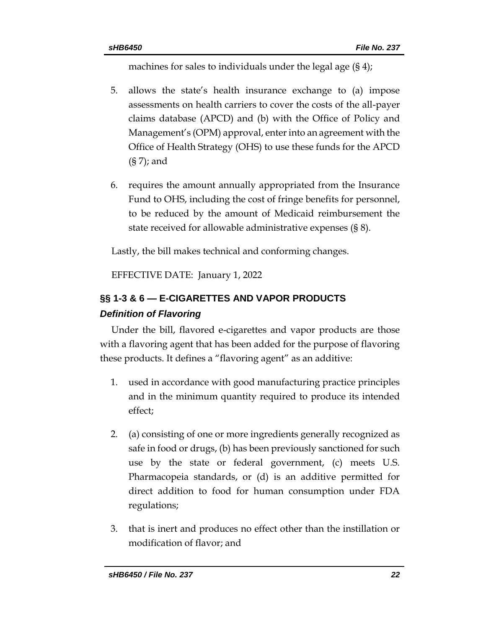machines for sales to individuals under the legal age (§ 4);

- 5. allows the state's health insurance exchange to (a) impose assessments on health carriers to cover the costs of the all-payer claims database (APCD) and (b) with the Office of Policy and Management's (OPM) approval, enter into an agreement with the Office of Health Strategy (OHS) to use these funds for the APCD (§ 7); and
- 6. requires the amount annually appropriated from the Insurance Fund to OHS, including the cost of fringe benefits for personnel, to be reduced by the amount of Medicaid reimbursement the state received for allowable administrative expenses (§ 8).

Lastly, the bill makes technical and conforming changes.

EFFECTIVE DATE: January 1, 2022

# **§§ 1-3 & 6 — E-CIGARETTES AND VAPOR PRODUCTS** *Definition of Flavoring*

Under the bill, flavored e-cigarettes and vapor products are those with a flavoring agent that has been added for the purpose of flavoring these products. It defines a "flavoring agent" as an additive:

- 1. used in accordance with good manufacturing practice principles and in the minimum quantity required to produce its intended effect;
- 2. (a) consisting of one or more ingredients generally recognized as safe in food or drugs, (b) has been previously sanctioned for such use by the state or federal government, (c) meets U.S. Pharmacopeia standards, or (d) is an additive permitted for direct addition to food for human consumption under FDA regulations;
- 3. that is inert and produces no effect other than the instillation or modification of flavor; and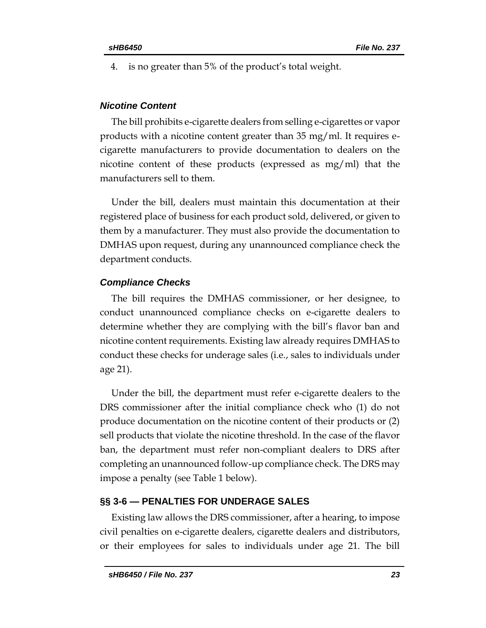4. is no greater than 5% of the product's total weight.

## *Nicotine Content*

The bill prohibits e-cigarette dealers from selling e-cigarettes or vapor products with a nicotine content greater than 35 mg/ml. It requires ecigarette manufacturers to provide documentation to dealers on the nicotine content of these products (expressed as mg/ml) that the manufacturers sell to them.

Under the bill, dealers must maintain this documentation at their registered place of business for each product sold, delivered, or given to them by a manufacturer. They must also provide the documentation to DMHAS upon request, during any unannounced compliance check the department conducts.

## *Compliance Checks*

The bill requires the DMHAS commissioner, or her designee, to conduct unannounced compliance checks on e-cigarette dealers to determine whether they are complying with the bill's flavor ban and nicotine content requirements. Existing law already requires DMHAS to conduct these checks for underage sales (i.e., sales to individuals under age 21).

Under the bill, the department must refer e-cigarette dealers to the DRS commissioner after the initial compliance check who (1) do not produce documentation on the nicotine content of their products or (2) sell products that violate the nicotine threshold. In the case of the flavor ban, the department must refer non-compliant dealers to DRS after completing an unannounced follow-up compliance check. The DRS may impose a penalty (see Table 1 below).

## **§§ 3-6 — PENALTIES FOR UNDERAGE SALES**

Existing law allows the DRS commissioner, after a hearing, to impose civil penalties on e-cigarette dealers, cigarette dealers and distributors, or their employees for sales to individuals under age 21. The bill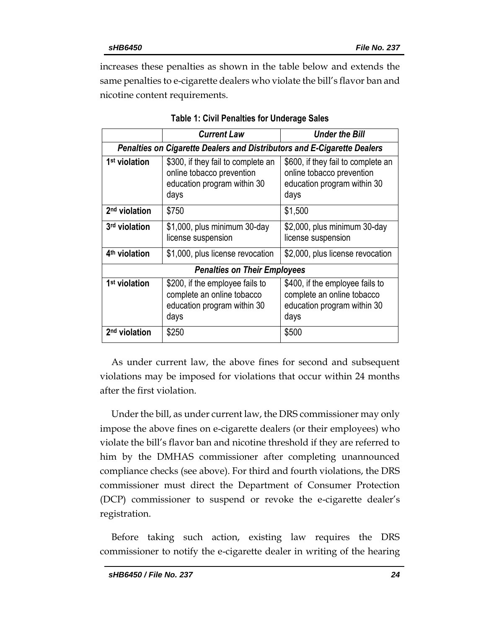increases these penalties as shown in the table below and extends the same penalties to e-cigarette dealers who violate the bill's flavor ban and nicotine content requirements.

|                                                                                | <b>Current Law</b>                                                                                     | Under the Bill                                                                                         |  |  |  |  |
|--------------------------------------------------------------------------------|--------------------------------------------------------------------------------------------------------|--------------------------------------------------------------------------------------------------------|--|--|--|--|
| <b>Penalties on Cigarette Dealers and Distributors and E-Cigarette Dealers</b> |                                                                                                        |                                                                                                        |  |  |  |  |
| 1 <sup>st</sup> violation                                                      | \$300, if they fail to complete an<br>online tobacco prevention<br>education program within 30<br>days | \$600, if they fail to complete an<br>online tobacco prevention<br>education program within 30<br>days |  |  |  |  |
| 2 <sup>nd</sup> violation                                                      | \$750                                                                                                  | \$1,500                                                                                                |  |  |  |  |
| 3 <sup>rd</sup> violation                                                      | \$1,000, plus minimum 30-day<br>license suspension                                                     | \$2,000, plus minimum 30-day<br>license suspension                                                     |  |  |  |  |
| 4 <sup>th</sup> violation                                                      | \$1,000, plus license revocation                                                                       | \$2,000, plus license revocation                                                                       |  |  |  |  |
| <b>Penalties on Their Employees</b>                                            |                                                                                                        |                                                                                                        |  |  |  |  |
| 1 <sup>st</sup> violation                                                      | \$200, if the employee fails to<br>complete an online tobacco<br>education program within 30<br>days   | \$400, if the employee fails to<br>complete an online tobacco<br>education program within 30<br>days   |  |  |  |  |
| 2 <sup>nd</sup> violation                                                      | \$250                                                                                                  | \$500                                                                                                  |  |  |  |  |

|  |  |  |  |  | Table 1: Civil Penalties for Underage Sales |  |
|--|--|--|--|--|---------------------------------------------|--|
|--|--|--|--|--|---------------------------------------------|--|

As under current law, the above fines for second and subsequent violations may be imposed for violations that occur within 24 months after the first violation.

Under the bill, as under current law, the DRS commissioner may only impose the above fines on e-cigarette dealers (or their employees) who violate the bill's flavor ban and nicotine threshold if they are referred to him by the DMHAS commissioner after completing unannounced compliance checks (see above). For third and fourth violations, the DRS commissioner must direct the Department of Consumer Protection (DCP) commissioner to suspend or revoke the e-cigarette dealer's registration.

Before taking such action, existing law requires the DRS commissioner to notify the e-cigarette dealer in writing of the hearing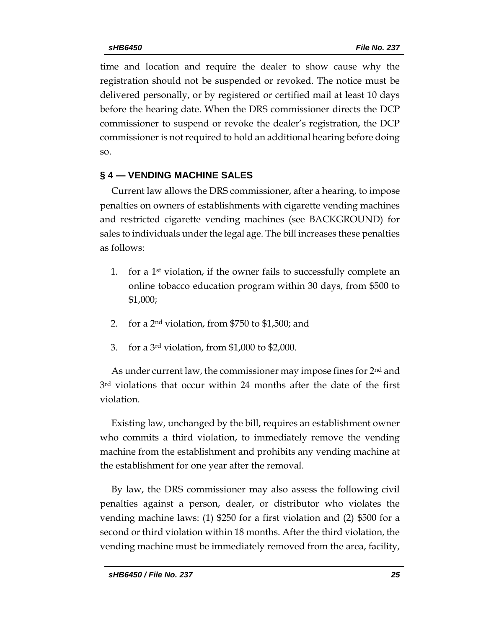time and location and require the dealer to show cause why the registration should not be suspended or revoked. The notice must be delivered personally, or by registered or certified mail at least 10 days before the hearing date. When the DRS commissioner directs the DCP commissioner to suspend or revoke the dealer's registration, the DCP commissioner is not required to hold an additional hearing before doing so.

## **§ 4 — VENDING MACHINE SALES**

Current law allows the DRS commissioner, after a hearing, to impose penalties on owners of establishments with cigarette vending machines and restricted cigarette vending machines (see BACKGROUND) for sales to individuals under the legal age. The bill increases these penalties as follows:

- 1. for a 1<sup>st</sup> violation, if the owner fails to successfully complete an online tobacco education program within 30 days, from \$500 to \$1,000;
- 2. for a 2nd violation, from \$750 to \$1,500; and
- 3. for a 3rd violation, from \$1,000 to \$2,000.

As under current law, the commissioner may impose fines for 2<sup>nd</sup> and 3rd violations that occur within 24 months after the date of the first violation.

Existing law, unchanged by the bill, requires an establishment owner who commits a third violation, to immediately remove the vending machine from the establishment and prohibits any vending machine at the establishment for one year after the removal.

By law, the DRS commissioner may also assess the following civil penalties against a person, dealer, or distributor who violates the vending machine laws: (1) \$250 for a first violation and (2) \$500 for a second or third violation within 18 months. After the third violation, the vending machine must be immediately removed from the area, facility,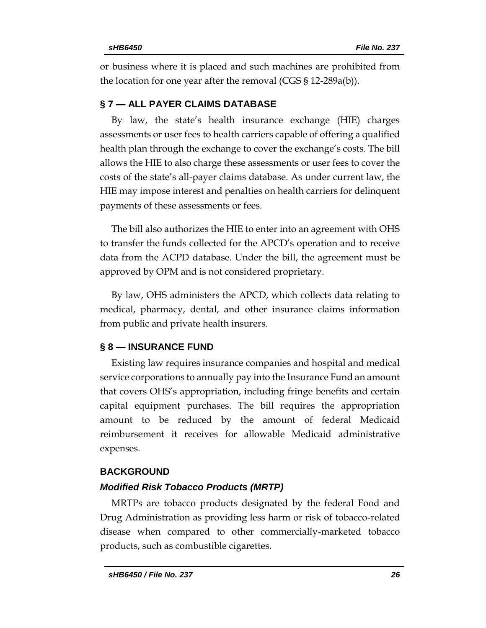or business where it is placed and such machines are prohibited from the location for one year after the removal (CGS § 12-289a(b)).

## **§ 7 — ALL PAYER CLAIMS DATABASE**

By law, the state's health insurance exchange (HIE) charges assessments or user fees to health carriers capable of offering a qualified health plan through the exchange to cover the exchange's costs. The bill allows the HIE to also charge these assessments or user fees to cover the costs of the state's all-payer claims database. As under current law, the HIE may impose interest and penalties on health carriers for delinquent payments of these assessments or fees.

The bill also authorizes the HIE to enter into an agreement with OHS to transfer the funds collected for the APCD's operation and to receive data from the ACPD database. Under the bill, the agreement must be approved by OPM and is not considered proprietary.

By law, OHS administers the APCD, which collects data relating to medical, pharmacy, dental, and other insurance claims information from public and private health insurers.

## **§ 8 — INSURANCE FUND**

Existing law requires insurance companies and hospital and medical service corporations to annually pay into the Insurance Fund an amount that covers OHS's appropriation, including fringe benefits and certain capital equipment purchases. The bill requires the appropriation amount to be reduced by the amount of federal Medicaid reimbursement it receives for allowable Medicaid administrative expenses.

## **BACKGROUND**

## *Modified Risk Tobacco Products (MRTP)*

MRTPs are tobacco products designated by the federal Food and Drug Administration as providing less harm or risk of tobacco-related disease when compared to other commercially-marketed tobacco products, such as combustible cigarettes.